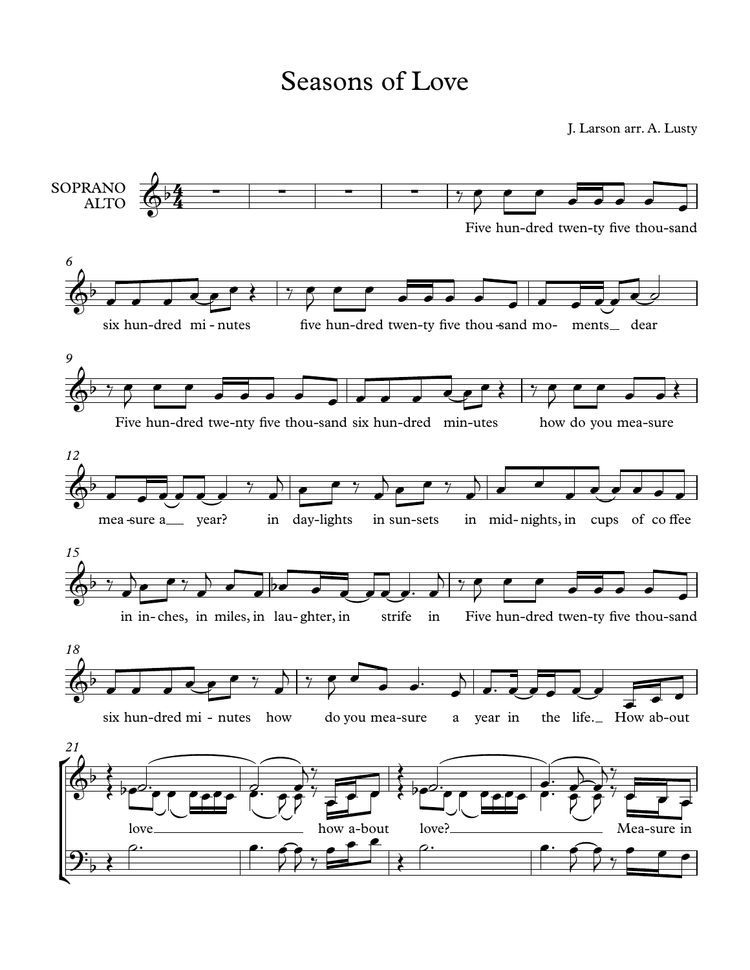## Seasons of Love

J. Larson arr. A. Lusty

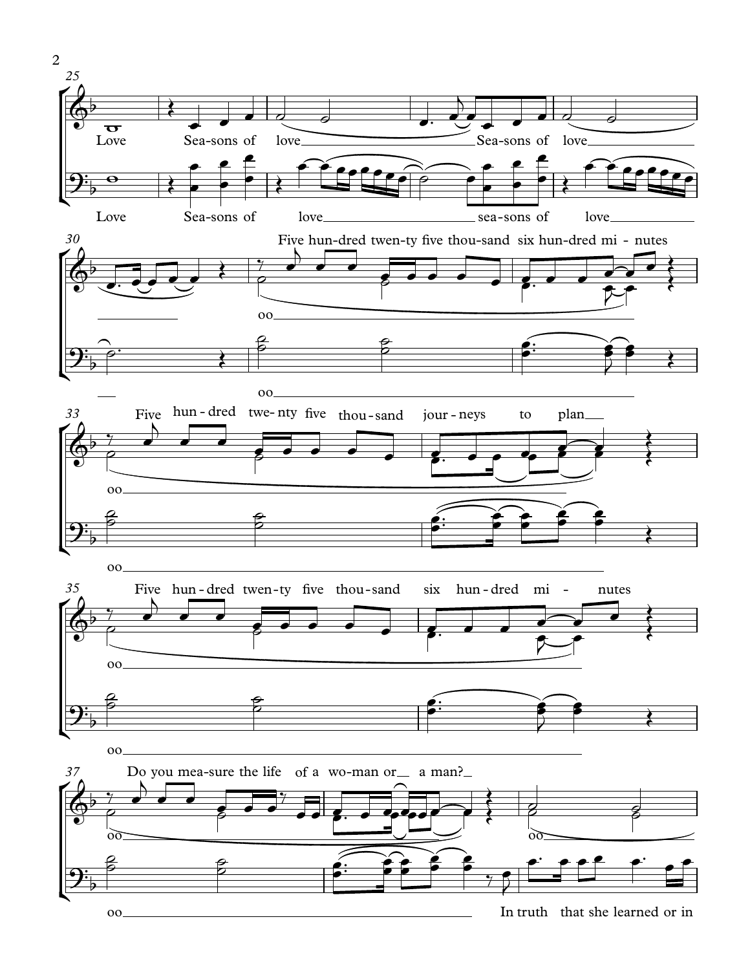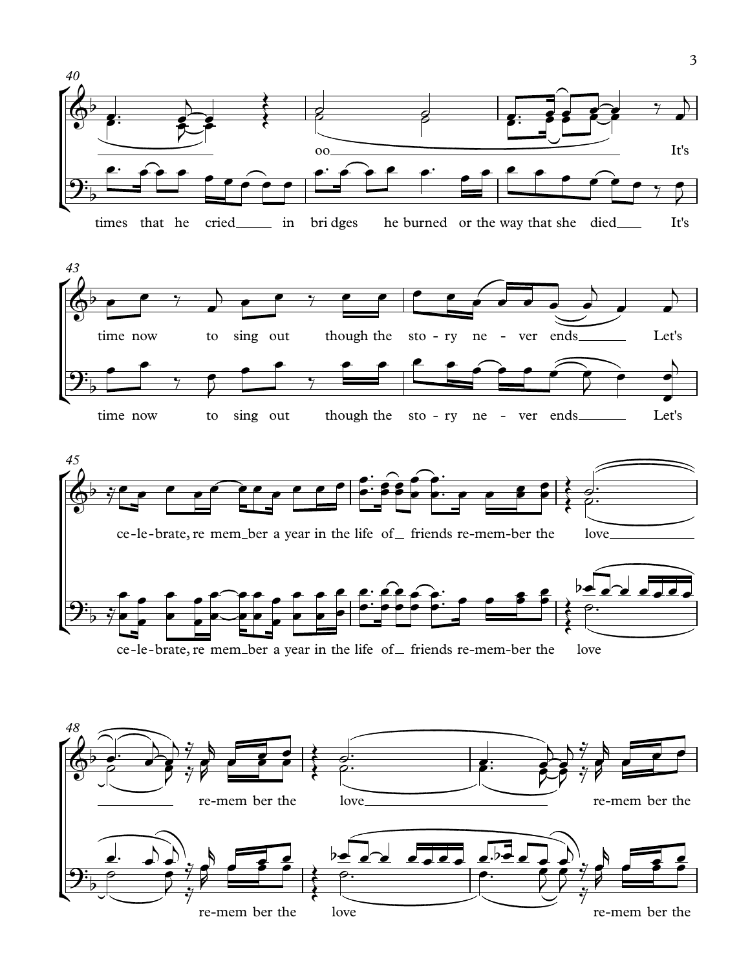







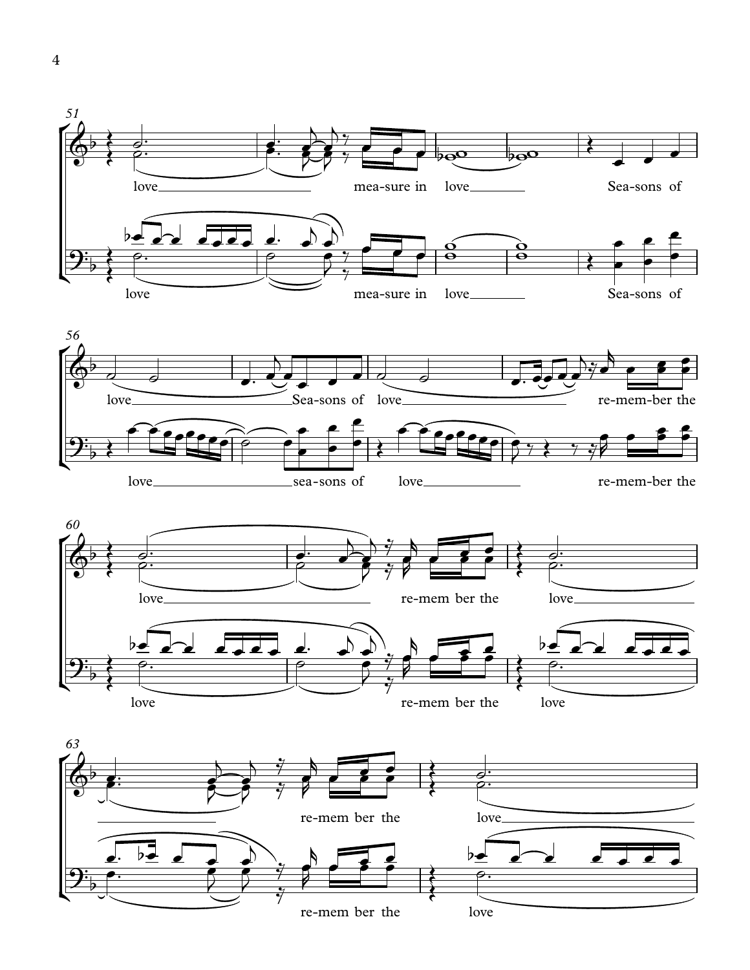